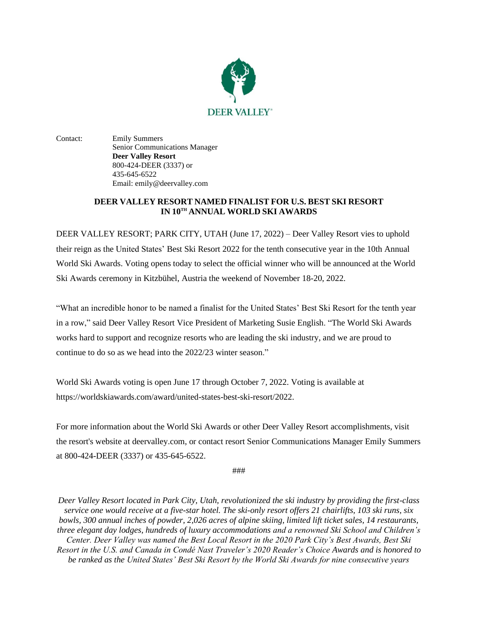

Contact: Emily Summers Senior Communications Manager **Deer Valley Resort** 800-424-DEER (3337) or 435-645-6522 Email: emily@deervalley.com

## **DEER VALLEY RESORT NAMED FINALIST FOR U.S. BEST SKI RESORT IN 10TH ANNUAL WORLD SKI AWARDS**

DEER VALLEY RESORT; PARK CITY, UTAH (June 17, 2022) – Deer Valley Resort vies to uphold their reign as the United States' Best Ski Resort 2022 for the tenth consecutive year in the 10th Annual World Ski Awards. Voting opens today to select the official winner who will be announced at the World Ski Awards ceremony in Kitzbühel, Austria the weekend of November 18-20, 2022.

"What an incredible honor to be named a finalist for the United States' Best Ski Resort for the tenth year in a row," said Deer Valley Resort Vice President of Marketing Susie English. "The World Ski Awards works hard to support and recognize resorts who are leading the ski industry, and we are proud to continue to do so as we head into the 2022/23 winter season."

World Ski Awards voting is open June 17 through October 7, 2022. Voting is available at https://worldskiawards.com/award/united-states-best-ski-resort/2022.

For more information about the World Ski Awards or other Deer Valley Resort accomplishments, visit the resort's website at deervalley.com, or contact resort Senior Communications Manager Emily Summers at 800-424-DEER (3337) or 435-645-6522.

###

*Deer Valley Resort located in Park City, Utah, revolutionized the ski industry by providing the first-class service one would receive at a five-star hotel. The ski-only resort offers 21 chairlifts, 103 ski runs, six bowls, 300 annual inches of powder, 2,026 acres of alpine skiing, limited lift ticket sales, 14 restaurants, three elegant day lodges, hundreds of luxury accommodations and a renowned Ski School and Children's Center. Deer Valley was named the Best Local Resort in the 2020 Park City's Best Awards, Best Ski Resort in the U.S. and Canada in Condé Nast Traveler's 2020 Reader's Choice Awards and is honored to be ranked as the United States' Best Ski Resort by the World Ski Awards for nine consecutive years*